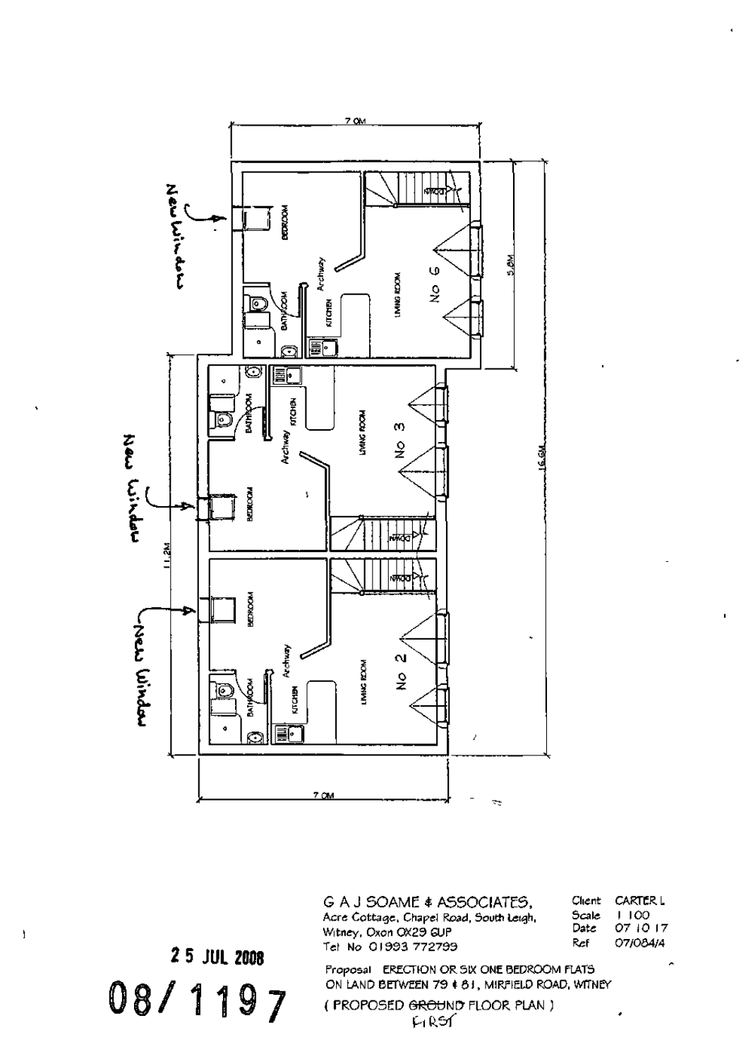

G A J SOAME \* ASSOCIATES, Acre Cottage. Chapel Road, South Leigh. Witney, Oxon 0X29 GUP Tel No 01993 772799

Client CARTER. L Scale I 100 Date 07 iO 17 Ref 07/054/4

2 5 JUL 2008 08/1197

ł

Proposal ERECTION OR. SIX ONE 8EDROOM ELATS ON LAND BETWEEN 79 & 61, MIRFIELD ROAD, WITNEY

( PROPOSED <del>GROU</del>ND FLOOR PLAN )<br>FIRST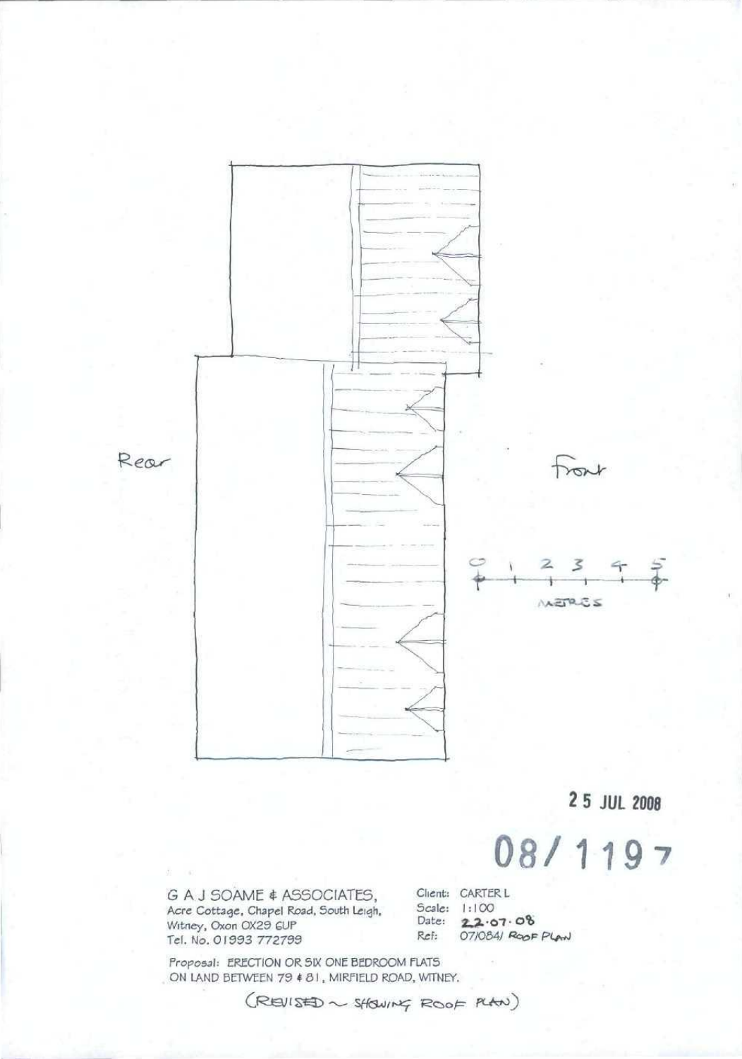

2 5 JUL 2008

## 08/1197

G A J SOAME & ASSOCIATES, Acre Cottage, Chapel Road, South Leigh, Witney, Oxon OX29 GUP<br>Tel. No. 01993 772799

Client: CARTER L Scale: 1:100 Date: 22.07.08<br>Ref: 07/084/Roof Plan

Proposal: ERECTION OR SIX ONE BEDROOM FLATS ON LAND BETWEEN 79 # 81, MIRFIELD ROAD, WITNEY.

(REVISED ~ SHOWING ROOF PLAN)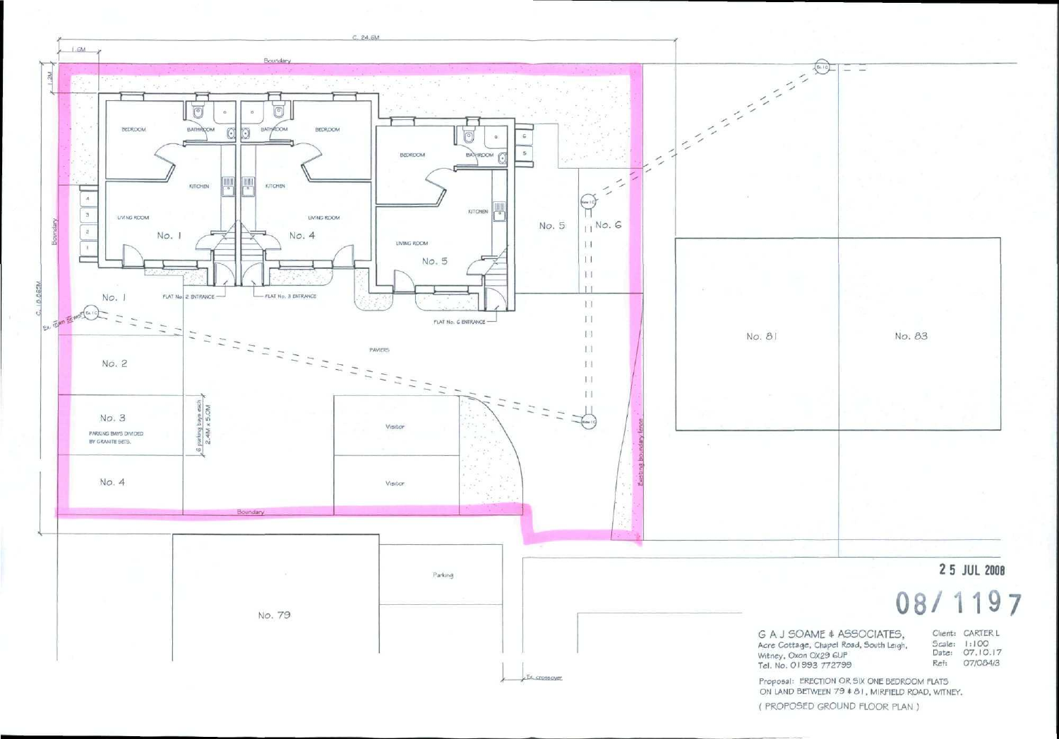

ON LAND BETWEEN 79 • 6) , MIRflELD ROAD. WITNET.

( PROPOSED GROUND FLOOR PLAN )